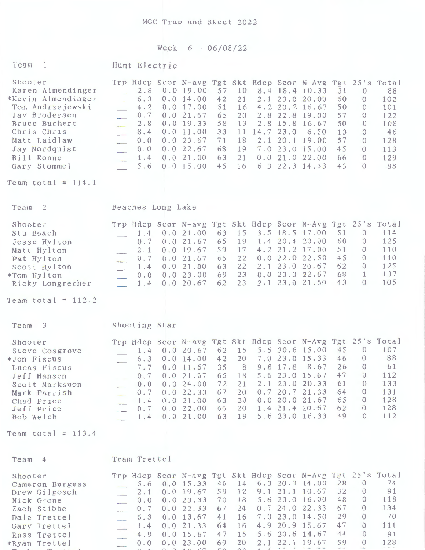## Week 6 - 06/08/22

| Team<br>$\overline{1}$                                                                                                                                                                                         | Hunt Electric                                                                                                                                                                                                                                                                                                                                                                                                                                                                                                                                                                                                                                                                                                                                                                                                                                                                                                                        |  |  |  |  |  |  |  |  |  |  |
|----------------------------------------------------------------------------------------------------------------------------------------------------------------------------------------------------------------|--------------------------------------------------------------------------------------------------------------------------------------------------------------------------------------------------------------------------------------------------------------------------------------------------------------------------------------------------------------------------------------------------------------------------------------------------------------------------------------------------------------------------------------------------------------------------------------------------------------------------------------------------------------------------------------------------------------------------------------------------------------------------------------------------------------------------------------------------------------------------------------------------------------------------------------|--|--|--|--|--|--|--|--|--|--|
| Shooter<br>Karen Almendinger<br>*Kevin Almendinger<br>Tom Andrzejewski<br>Jay Brodersen<br>Bruce Buchert<br>Chris Chris<br>Matt Laidlaw<br>Jay Nordquist<br>Bill Ronne<br>Gary Stommel<br>Team total = $114.1$ | Trp Hdcp Scor N-avg Tgt Skt Hdcp Scor N-Avg Tgt 25's Total<br>0.019.00<br>57<br>8.4 18.4 10.33<br>88<br>2.8<br>10<br>31<br>$\theta$<br>2.1 23.0 20.00<br>60<br>102<br>6.3<br>0.0 14.00<br>42<br>21<br>$\Omega$<br>50<br>101<br>4.2 20.2 16.67<br>0.017.00<br>51<br>16<br>4.2<br>$\theta$<br>57<br>122<br>65<br>20<br>2.8 22.8 19.00<br>0.7<br>0.021.67<br>$\Omega$<br>$\overline{\phantom{a}}$<br>108<br>58<br>2.8 15.8 16.67<br>50<br>0.019.33<br>13<br>2.8<br>$\theta$<br>$\overline{\phantom{a}}$<br>33<br>11 14.7 23.0<br>13<br>46<br>8.4<br>0.011.00<br>6.50<br>0<br>$\overline{\phantom{a}}$<br>57<br>2.1 20.1 19.00<br>0.0 23.67<br>71<br>18<br>128<br>$\Omega$<br>0.0<br>$\overline{\phantom{a}}$<br>45<br>0.022.67<br>68<br>7.0 23.0 15.00<br>113<br>0.0<br>19<br>$\Omega$<br>66<br>129<br>0.021.00<br>21<br>0.021.022.00<br>63<br>$\Omega$<br>1.4<br>43<br>88<br>6.3 22.3 14.33<br>0.015.00<br>45<br>16<br>$\Omega$<br>5.6 |  |  |  |  |  |  |  |  |  |  |
| Team<br>2                                                                                                                                                                                                      | Beaches Long Lake                                                                                                                                                                                                                                                                                                                                                                                                                                                                                                                                                                                                                                                                                                                                                                                                                                                                                                                    |  |  |  |  |  |  |  |  |  |  |
| Shooter<br>Stu Beach<br>Jesse Hylton<br>Matt Hylton<br>Pat Hylton<br>Scott Hylton<br>*Tom Hylton<br>Ricky Longrecher<br>Team total = $112.2$                                                                   | Trp Hdcp Scor N-avg Tgt Skt Hdcp Scor N-Avg Tgt 25's Total<br>114<br>3.5 18.5 17.00<br>51<br>$\theta$<br>63<br>15<br>1.4<br>0.021.00<br>60<br>125<br>1.4 20.4 20.00<br>65<br>19<br>0<br>0.021.67<br>0.7<br>51<br>110<br>4.2 21.2 17.00<br>59<br>17<br>$\theta$<br>0.019.67<br>2.1<br>45<br>110<br>0.022.022.50<br>65<br>22<br>$\theta$<br>0.021.67<br>0.7<br>125<br>62<br>2.1 23.0 20.67<br>$\Omega$<br>63<br>22<br>0.021.00<br>1.4<br>$\overline{a}$<br>137<br>68<br>23<br>0.023.022.67<br>$\mathbf{1}$<br>69<br>0.023.00<br>0.0<br>105<br>43<br>$\Omega$<br>23<br>2.1 23.0 21.50<br>0.0 20.67<br>62<br>$\mathcal{L}$<br>1.4                                                                                                                                                                                                                                                                                                        |  |  |  |  |  |  |  |  |  |  |
| $\overline{\mathbf{3}}$<br>Team                                                                                                                                                                                | Shooting Star                                                                                                                                                                                                                                                                                                                                                                                                                                                                                                                                                                                                                                                                                                                                                                                                                                                                                                                        |  |  |  |  |  |  |  |  |  |  |
| Shooter<br>Steve Cosgrove<br>*Jon Fiscus<br>Lucas Fiscus<br>Jeff Hanson<br>Scott Marksuon<br>Mark Parrish<br>Chad Price<br>Jeff Price<br>Bob Welch                                                             | Trp Hdcp Scor N-avg Tgt Skt Hdcp Scor N-Avg Tgt 25's Total<br>107<br>45<br>0.0 20.67 62 15 5.6 20.6 15.00<br>$\theta$<br>1.4<br>46<br>88<br>7.0 23.0 15.33<br>$\theta$<br>42<br>20<br>0.014.00<br>6.3<br>260<br>7.7 0.0 11.67 35 8<br>9.8 17.8 8.67<br>61<br>47<br>112<br>5.6 23.0 15.67<br>$\overline{0}$<br>0.0 21.67<br>65<br>18<br>0.7<br>133<br>2.1 23.0 20.33<br>61<br>72<br>$\theta$<br>0.024.00<br>21<br>0.0<br>131<br>0.720.721.33<br>64<br>67<br>20<br>$\theta$<br>0.022.33<br>0.7<br>128<br>0.0 20.0 21.67<br>65<br>$\theta$<br>0.021.00<br>63<br>20<br>1.4<br>128<br>62<br>1.4 21.4 20.67<br>$\theta$<br>0.022.00<br>20<br>66<br>0.7<br>49<br>112<br>5.6 23.0 16.33<br>$\Omega$<br>63<br>19<br>0.021.00<br>1.4                                                                                                                                                                                                           |  |  |  |  |  |  |  |  |  |  |
| Team total = $113.4$                                                                                                                                                                                           |                                                                                                                                                                                                                                                                                                                                                                                                                                                                                                                                                                                                                                                                                                                                                                                                                                                                                                                                      |  |  |  |  |  |  |  |  |  |  |
| $\overline{4}$<br>Team                                                                                                                                                                                         | Team Trettel                                                                                                                                                                                                                                                                                                                                                                                                                                                                                                                                                                                                                                                                                                                                                                                                                                                                                                                         |  |  |  |  |  |  |  |  |  |  |
| Shooter<br>Cameron Burgess<br>Drew Gilgosch<br>Nick Grone<br>Zach Stibbe<br>Dale Trettel<br>Gary Trettel<br>Russ Trettel<br>*Ryan Trettel                                                                      | Trp Hdcp Scor N-avg Tgt Skt Hdcp Scor N-Avg Tgt 25's Total<br>74<br>28<br>14 6.3 20.3 14.00<br>$\theta$<br>46<br>0.0 15.33<br>5.6<br>32<br>91<br>$9.1$ 21.1 10.67<br>$\theta$<br>59<br>12<br>0.019.67<br>2.1<br>48<br>118<br>5.6 23.0 16.00<br>$\theta$<br>70<br>18<br>0.023.33<br>$0.0$<br>134<br>67<br>0.724.022.33<br>67<br>24<br>$\left\{ 0 \right\}$<br>0.0 22.33<br>0.7<br>70<br>29<br>7.0 23.0 14.50<br>$\theta$<br>41<br>0.0 13.67<br>16<br>6.3<br>47<br>4.9 20.9 15.67<br>111<br>21.33<br>$\theta$<br>0.0<br>64<br>16<br>1.4<br>91<br>5.6 20.6 14.67<br>44<br>0.0 15.67<br>47<br>15<br>$\Omega$<br>4.9<br>2.1 22.1 19.67<br>59<br>128<br>$\Omega$<br>0.023.00<br>69<br>20<br>0.0<br>$\sim$<br>$1 - 2 = 1$                                                                                                                                                                                                                   |  |  |  |  |  |  |  |  |  |  |

**'T'n r-lr"'.,.... l'f"\-r..++-1** .... 1 *f\* " <sup>1</sup>*("\* ,..,., r:-r. ~" ~ ~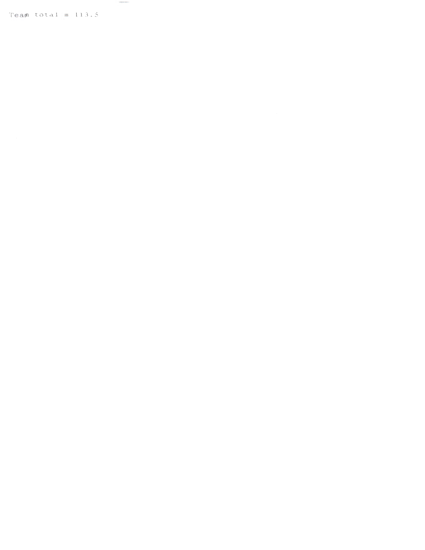Team total =  $113.5$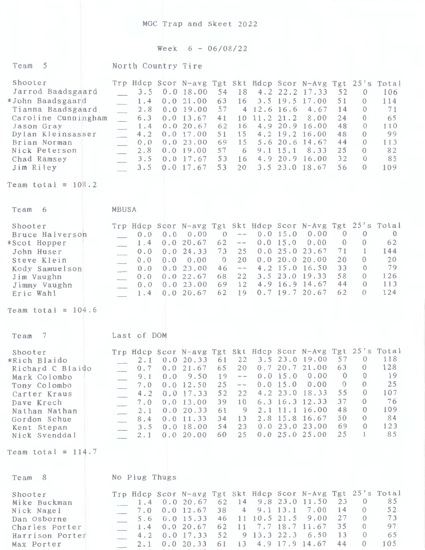MGC Trap and Skeet 2022

## Week 6 - 06/08/22

| Team 5            |  | North Country Tire |  |  |                                                            |  |     |
|-------------------|--|--------------------|--|--|------------------------------------------------------------|--|-----|
| Shooter           |  |                    |  |  | Trp Hdcp Scor N-avg Tgt Skt Hdcp Scor N-Avg Tgt 25's Total |  |     |
| Jarrod Baadsgaard |  |                    |  |  | 3.5 0.0 18.00 54 18 4.2 22.2 17.33 52 0                    |  | 106 |
| *John Baadsgaard  |  |                    |  |  | 1.4 0.0 21.00 63 16 3.5 19.5 17.00 51                      |  | 114 |
| Tianna Raadscaard |  |                    |  |  | 2 8 0 0 19 00 57 4 12 6 16 6 4 67 14 0                     |  |     |

|  |  |  |  |  |                                                                                                                                                                                                                                                  | 71                                                                                       |
|--|--|--|--|--|--------------------------------------------------------------------------------------------------------------------------------------------------------------------------------------------------------------------------------------------------|------------------------------------------------------------------------------------------|
|  |  |  |  |  |                                                                                                                                                                                                                                                  | 65                                                                                       |
|  |  |  |  |  |                                                                                                                                                                                                                                                  | 110                                                                                      |
|  |  |  |  |  |                                                                                                                                                                                                                                                  | 99                                                                                       |
|  |  |  |  |  |                                                                                                                                                                                                                                                  | 113                                                                                      |
|  |  |  |  |  |                                                                                                                                                                                                                                                  | 82                                                                                       |
|  |  |  |  |  |                                                                                                                                                                                                                                                  | 85                                                                                       |
|  |  |  |  |  |                                                                                                                                                                                                                                                  |                                                                                          |
|  |  |  |  |  | 6.3 0.0 13.67 41 10 11.2 21.2 8.00 24<br>1.4 0.0 20.67 62 16 4.9 20.9 16.00 48<br>4.2 0.0 17.00 51 15 4.2 19.2 16.00 48<br>2.8 0.0 19.00 57 6 9.1 15.1 8.33 25<br>3.5 0.0 17.67 53 16 4.9 20.9 16.00 32<br>3.5 0.0 17.67 53 20 3.5 23.0 18.67 56 | 2.8 0.0 19.00 57 4 12.6 16.6 4.67 14 0<br>0.0 0.0 23.00 69 15 5.6 20.6 14.67 44<br>0 109 |

Team total =  $108.2$ 

Team 6 MBUSA

| Shooter         |  | Trp Hdcp Scor N-avg Tgt Skt Hdcp Scor N-Avg Tgt 25's Total |  |  |                          |                |          |     |
|-----------------|--|------------------------------------------------------------|--|--|--------------------------|----------------|----------|-----|
| Bruce Halverson |  | $0.0 \t 0.0 \t 0.00$                                       |  |  | $0$ -- 0.0 15.0 0.00     | $\overline{0}$ | $\sim$ 0 |     |
| *Scot Hopper    |  | $1.4 \t0.0 \t20.67 \t62 -- 0.0 \t15.0 \t0.00$              |  |  |                          | $\overline{0}$ |          | 62  |
| John Huser      |  | $0.0 \t 0.0 \t 24.33$                                      |  |  | 73 25 0.0 25.0 23.67     | 71             |          | 144 |
| Steve Klein     |  | $0.0$ 0.0 0.00 0 20 0.0 20.0 20.00                         |  |  |                          | 20             |          | 20  |
| Kody Samuelson  |  | $0.0 \t 0.0 \t 23.00$                                      |  |  | $46$ -- $4.2$ 15.0 16.50 | 33             | $\theta$ | 79  |
| Jim Vaughn      |  | $0.0 \t 0.0 \t 22.67$                                      |  |  | 68 22 3.5 23.0 19.33     | 58             |          | 126 |
| Jimmy Vaughn    |  | $0.0 \t 0.0 \t 23.00$                                      |  |  | 69 12 4.9 16.9 14.67     | 44             |          | 113 |
| Eric Wahl       |  | 1.4 0.0 20.67 62 19 0.7 19.7 20.67 62                      |  |  |                          |                |          | 124 |

Team total =  $104.6$ 

|     |                                                | 61                                                                                                                           |                |    |                                  | 57                                                                                                                                          | $\Omega$ | 118                                                        |
|-----|------------------------------------------------|------------------------------------------------------------------------------------------------------------------------------|----------------|----|----------------------------------|---------------------------------------------------------------------------------------------------------------------------------------------|----------|------------------------------------------------------------|
|     |                                                | 65                                                                                                                           | 20             |    |                                  | 63                                                                                                                                          | $\Omega$ | 128                                                        |
|     | 9.50                                           | 19                                                                                                                           | $\overline{a}$ |    | 0.00                             | $\Omega$                                                                                                                                    | $\Omega$ | 19                                                         |
| 7.0 |                                                | 25                                                                                                                           | $ -$           |    | 0.00                             | $\Omega$                                                                                                                                    | $\Omega$ | 25                                                         |
|     |                                                | 52                                                                                                                           |                |    |                                  | 55                                                                                                                                          | $\Omega$ | 107                                                        |
| 7.0 |                                                | 39                                                                                                                           | 10             |    |                                  | 37                                                                                                                                          | $\Omega$ | 76                                                         |
| 2.1 |                                                | 61                                                                                                                           | 9              |    |                                  | 48                                                                                                                                          | $\Omega$ | 109                                                        |
| 8.4 |                                                | 34                                                                                                                           | 13             |    |                                  | 50                                                                                                                                          | $\Omega$ | 84                                                         |
|     |                                                | 54                                                                                                                           | 23             |    |                                  | 69                                                                                                                                          | $\Omega$ | 123                                                        |
|     |                                                | 60                                                                                                                           | 25             |    |                                  | 2.5                                                                                                                                         |          | 85                                                         |
|     | Last of DOM<br>2.1<br>0.7<br>9.1<br>4.2<br>3.5 | 0.020.33<br>0.021.67<br>0.0<br>$0.0$ 12.50<br>$0.0$ 17.33<br>0.013.00<br>0.0 20.33<br>$0.0$ 11.33<br>$0.0$ 18.00<br>0.020.00 |                | 22 | $0.0$ 15.0<br>0.015.0<br>0.025.0 | 22 3.5 23.0 19.00<br>0.720.721.00<br>18.33<br>$4.2$ 23.0<br>6.3 16.3 12.33<br>2.1 11.1 16.00<br>2.8 15.8 16.67<br>23.00<br>0.023.0<br>25.00 |          | Trp Hdcp Scor N-avg Tgt Skt Hdcp Scor N-Avg Tgt 25's Total |

Team total =  $114.7$ 

| Team 8                                                                                    |  | No Plug Thugs |                                                                                                                                                                                                                               |  |  |                                             |                       |                            |
|-------------------------------------------------------------------------------------------|--|---------------|-------------------------------------------------------------------------------------------------------------------------------------------------------------------------------------------------------------------------------|--|--|---------------------------------------------|-----------------------|----------------------------|
| Shooter<br>Mike Buckman<br>Nick Nagel<br>Dan Osborne<br>Charles Porter<br>Harrison Porter |  |               | Trp Hdcp Scor N-avg Tgt Skt Hdcp Scor N-Avg Tgt 25's Total<br>1.4 0.0 20.67 62 14 9.8 23.0 11.50 23<br>7.0 0.0 12.67 38 4 9.1 13.1 7.00<br>5.6 0.0 15.33 46 11 10.5 21.5 9.00<br>$1.4 \quad 0.0 \quad 20.67$<br>4.2 0.0 17.33 |  |  | 62 11 7.7 18.7 11.67<br>52 9 13.3 22.3 6.50 | 14<br>2.7<br>35<br>13 | 85<br>52<br>73<br>97<br>65 |
| Max Porter                                                                                |  |               | $2.1 \quad 0.0 \quad 20.33$                                                                                                                                                                                                   |  |  | 61 13 4.9 17.9 14.67                        |                       | 105                        |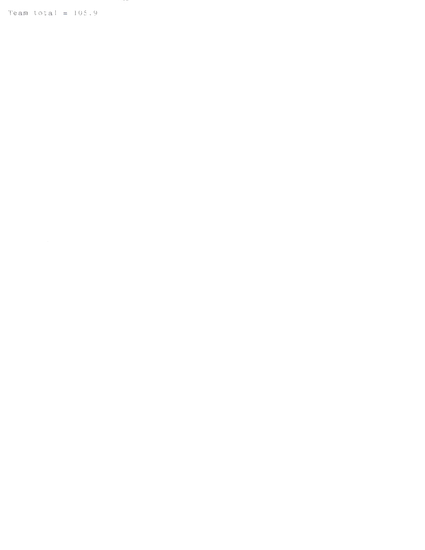Team total =  $105.9$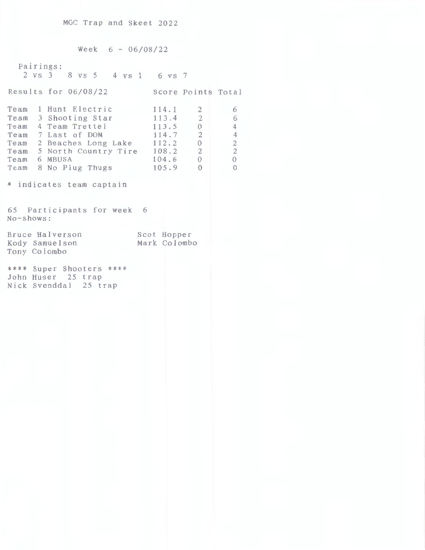Week  $6 - 06/08/22$ Pairings: 2 vs 3 8 vs 5 **4** VS 1 6 vs 7 Results for 06/08/22 Score Points Total Team 1 Hunt Electric Team 3 Shooting Star Team 4 Team Trettel Team 7 Last of DOM Team 2 Beaches Long Lake Team 5 North Country Tire Team 6 MBUSA Team 8 No Plug Thugs \* indicates team captain 65 Participants for week 6 No-shows: Bruce Halverson Kody Samuelson Tony Colombo \*\*\*\* Super Shooters \*\*\*\* John Huser 25 trap Nick Svenddal 25 trap **114. 1**  113. 4 113.5 114.7 112.2 108.2 104.6 105.9 Scot Hopper Mark Colombo  $\overline{2}$ 2 0 2 0 2 0 0 6 6 4 4 2 2  $\overline{0}$  $\overline{0}$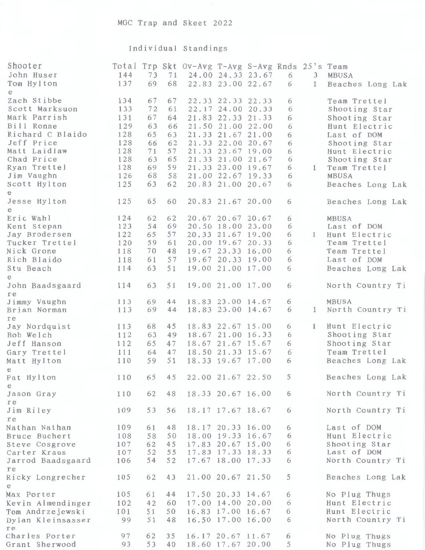## Individual Standings

| Shooter<br>John Huser<br>Tom Hylton | 144<br>137 | 73<br>69 | 71<br>68 | Total Trp Skt Ov-Avg T-Avg S-Avg Rnds 25's Team | 24.00 24.33 23.67<br>22.83 23.00 22.67 | 6<br>6 | 3<br>$\mathbf{1}$ | <b>MBUSA</b><br>Beaches Long Lak |
|-------------------------------------|------------|----------|----------|-------------------------------------------------|----------------------------------------|--------|-------------------|----------------------------------|
| e<br>Zach Stibbe<br>Scott Marksuon  | 134<br>133 | 67<br>72 | 67<br>61 |                                                 | 22.33 22.33 22.33<br>22.17 24.00 20.33 | 6<br>6 |                   | Team Trettel<br>Shooting Star    |
| Mark Parrish                        | 131        | 67       | 64       |                                                 | 21.83 22.33 21.33                      | 6      |                   | Shooting Star                    |
| Bill Ronne                          | 129        | 63       | 66       |                                                 | 21.50 21.00 22.00                      | 6      |                   | Hunt Electric                    |
| Richard C Blaido                    | 128        | 65       | 63       |                                                 | 21.33 21.67 21.00                      | 6      |                   | Last of DOM                      |
| Jeff Price                          | 128        | 66       | 62       |                                                 | 21.33 22.00 20.67                      | 6      |                   | Shooting Star                    |
| Matt Laidlaw                        | 128        | 71       | 57       |                                                 | 21.33 23.67 19.00                      | б      |                   | Hunt Electric                    |
| Chad Price                          | 128        | 63       | 65       |                                                 | 21.33 21.00 21.67                      | 6      |                   | Shooting Star                    |
| Ryan Trettel                        | 128        | 69       | 59       |                                                 | 21.33 23.00 19.67                      | б      | $\mathbf{1}$      | Team Trettel                     |
| Jim Vaughn                          | 126        | 68       | 58       |                                                 | 21.00 22.67 19.33                      | 6      |                   | MBUSA                            |
| Scott Hylton<br>$\mathbf{e}$        | 125        | 63       | 62       |                                                 | 20.83 21.00 20.67                      | 6      |                   | Beaches Long Lak                 |
| Jesse Hylton<br>e                   | 125        | 65       | 60       |                                                 | 20.83 21.67 20.00                      | 6      |                   | Beaches Long Lak                 |
| Eric Wahl                           | 124        | 62       | 62       |                                                 | 20.67 20.67 20.67                      | 6      |                   | MBUSA                            |
| Kent Stepan                         | 123        | 54       | 69       |                                                 | 20.50 18.00 23.00                      | 6      |                   | Last of DOM                      |
| Jay Brodersen                       | 122        | 65       | 57       |                                                 | 20.33 21.67 19.00                      | 6      | 1                 | Hunt Electric                    |
| Tucker Trettel                      | 120        | 59       | 61       |                                                 | 20.00 19.67 20.33<br>19.67 23.33 16.00 | 6      |                   | Team Trettel                     |
| Nick Grone                          | 118<br>118 | 70       | 48<br>57 |                                                 | 19.67 20.33 19.00                      | 6<br>6 |                   | Team Trettel<br>Last of DOM      |
| Rich Blaido                         | 114        | 61<br>63 | 51       |                                                 | 19.00 21.00 17.00                      | 6      |                   | Beaches Long Lak                 |
| Stu Beach<br>e                      |            |          |          |                                                 |                                        |        |                   |                                  |
| John Baadsgaard<br>re               | 114        | 63       | 51       |                                                 | 19.00 21.00 17.00                      | 6      |                   | North Country Ti                 |
| Jimmy Vaughn                        | 113        | 69       | 44       |                                                 | 18.83 23.00 14.67                      | 6      |                   | <b>MBUSA</b>                     |
| Brian Norman<br>re                  | 113        | 69       | 44       |                                                 | 18.83 23.00 14.67                      | 6      | $\mathbf{1}$      | North Country Ti                 |
| Jay Nordquist                       | 113        | 68       | 45       |                                                 | 18.83 22.67 15.00                      | 6      | $\mathbf{1}$      | Hunt Electric                    |
| Bob Welch                           | 112        | 63       | 49       |                                                 | 18.67 21.00 16.33                      | 6      |                   | Shooting Star                    |
| Jeff Hanson                         | 112        | 65       | 47       |                                                 | 18.67 21.67 15.67                      | 6      |                   | Shooting Star                    |
| Gary Trettel                        | 111        | 64       | 47       |                                                 | 18.50 21.33 15.67                      | 6      |                   | Team Trettel                     |
| Matt Hylton<br>e                    | 110        | 59       | 51       |                                                 | 18.33 19.67 17.00                      | 6      |                   | Beaches Long Lak                 |
| Pat Hylton<br>e                     | 110        | 65       | 45       |                                                 | 22.00 21.67 22.50                      | 5      |                   | Beaches Long Lak                 |
| Jason Gray<br>re                    | 110        | 62       | 48       |                                                 | 18.33 20.67 16.00                      | 6      |                   | North Country Ti                 |
| Jim Riley                           | 109        | 53       | 56       |                                                 | 18.17 17.67 18.67                      | 6      |                   | North Country Ti                 |
| re                                  |            |          | 48       |                                                 | 18.17 20.33 16.00                      | 6      |                   | Last of DOM                      |
| Nathan Nathan<br>Bruce Buchert      | 109<br>108 | 61<br>58 | 50       |                                                 | 18.00 19.33 16.67                      | 6      |                   | Hunt Electric                    |
| Steve Cosgrove                      | 107        | 62       | 45       |                                                 | 17.83 20.67 15.00                      | 6      |                   | Shooting Star                    |
| Carter Kraus                        | 107        | 52       | 55       |                                                 | 17.83 17.33 18.33                      | 6      |                   | Last of DOM                      |
| Jarrod Baadsgaard                   | 106        | 54       | 52       |                                                 | 17.67 18.00 17.33                      | 6      |                   | North Country Ti                 |
| re<br>Ricky Longrecher              | 105        | 62       | 43       |                                                 | 21.00 20.67 21.50                      | 5      |                   | Beaches Long Lak                 |
| e                                   |            |          |          |                                                 |                                        |        |                   |                                  |
| Max Porter                          | 105        | 61       | 44       |                                                 | 17.50 20.33 14.67                      | 6      |                   | No Plug Thugs                    |
| Kevin Almendinger                   | 102        | 42       | 60       |                                                 | 17.00 14.00 20.00                      | 6      |                   | Hunt Electric                    |
| Tom Andrzejewski                    | 101        | 51       | 50       |                                                 | 16.83 17.00 16.67                      | 6      |                   | Hunt Electric                    |
| Dylan Kleinsasser<br>re             | 99         | 51       | 48       |                                                 | 16.50 17.00 16.00                      | 6      |                   | North Country Ti                 |
| Charles Porter                      | 97         | 62       | 35       |                                                 | 16.17 20.67 11.67                      | 6      |                   | No Plug Thugs                    |
| Grant Sherwood                      | 93         | 53       | 40       |                                                 | 18.60 17.67 20.00                      | 5      |                   | No Plug Thugs                    |